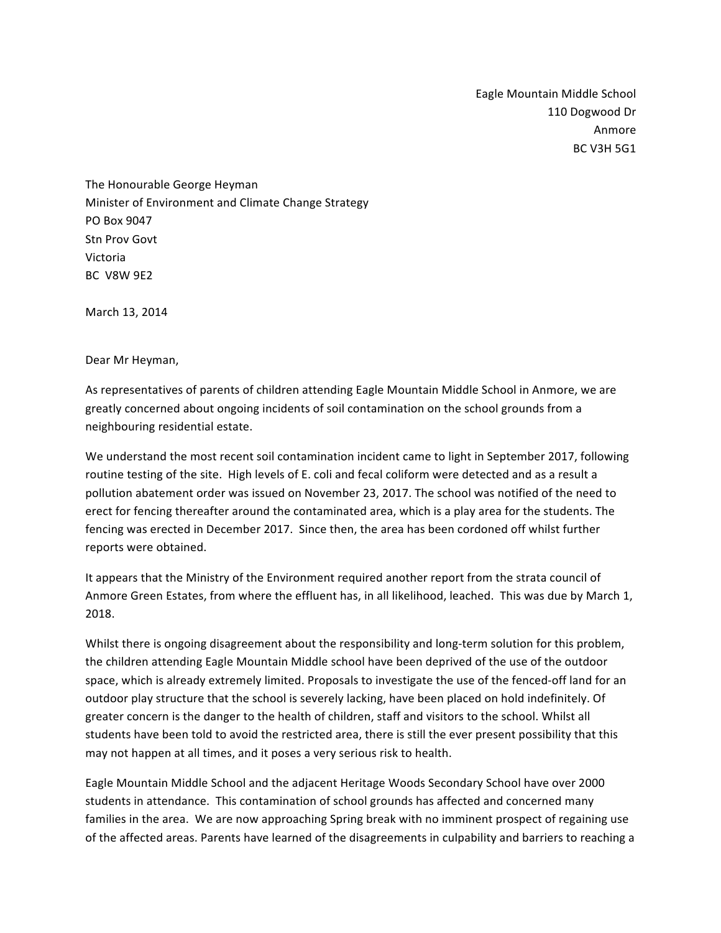Eagle Mountain Middle School 110 Dogwood Dr Anmore BC V3H 5G1

The Honourable George Heyman Minister of Environment and Climate Change Strategy PO Box 9047 Stn Prov Govt Victoria BC V8W 9F2

March 13, 2014

Dear Mr Heyman,

As representatives of parents of children attending Eagle Mountain Middle School in Anmore, we are greatly concerned about ongoing incidents of soil contamination on the school grounds from a neighbouring residential estate.

We understand the most recent soil contamination incident came to light in September 2017, following routine testing of the site. High levels of E. coli and fecal coliform were detected and as a result a pollution abatement order was issued on November 23, 2017. The school was notified of the need to erect for fencing thereafter around the contaminated area, which is a play area for the students. The fencing was erected in December 2017. Since then, the area has been cordoned off whilst further reports were obtained.

It appears that the Ministry of the Environment required another report from the strata council of Anmore Green Estates, from where the effluent has, in all likelihood, leached. This was due by March 1, 2018.

Whilst there is ongoing disagreement about the responsibility and long-term solution for this problem, the children attending Eagle Mountain Middle school have been deprived of the use of the outdoor space, which is already extremely limited. Proposals to investigate the use of the fenced-off land for an outdoor play structure that the school is severely lacking, have been placed on hold indefinitely. Of greater concern is the danger to the health of children, staff and visitors to the school. Whilst all students have been told to avoid the restricted area, there is still the ever present possibility that this may not happen at all times, and it poses a very serious risk to health.

Eagle Mountain Middle School and the adjacent Heritage Woods Secondary School have over 2000 students in attendance. This contamination of school grounds has affected and concerned many families in the area. We are now approaching Spring break with no imminent prospect of regaining use of the affected areas. Parents have learned of the disagreements in culpability and barriers to reaching a